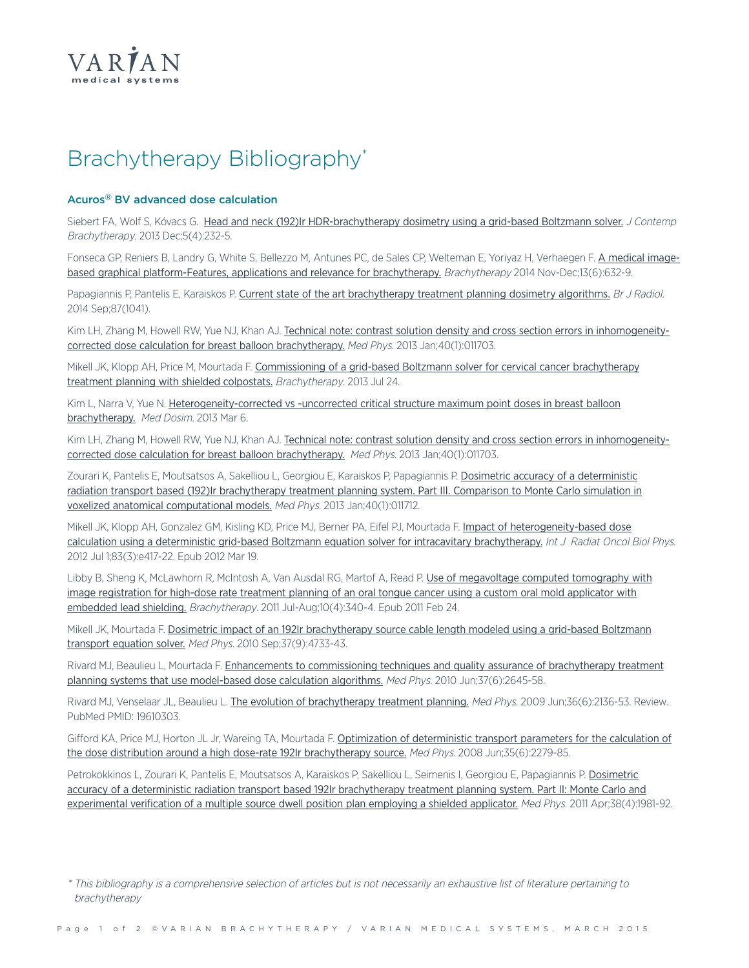

# Brachytherapy Bibliography\*

## **Acuros® BV advanced dose calculation**

Siebert FA, Wolf S, Kóvacs G. Head and neck (192)Ir [HDR-brachytherapy](http://www.ncbi.nlm.nih.gov/pubmed/24474973) dosimetry using a grid-based Boltzmann solver. J Contemp Brachytherapy. 2013 Dec;5(4):232-5.

Fonseca GP, Reniers B, Landry G, White S, Bellezzo M, Antunes PC, de Sales CP, Welteman E, Yoriyaz H, Verhaegen F. A [medical](http://www.ncbi.nlm.nih.gov/pubmed/25168675) imagebased graphical [platform-Features,](http://www.ncbi.nlm.nih.gov/pubmed/25168675) applications and relevance for brachytherapy. Brachytherapy 2014 Nov-Dec;13(6):632-9.

Papagiannis P, Pantelis E, Karaiskos P. Current state of the art [brachytherapy](http://www.ncbi.nlm.nih.gov/pubmed/25027247) treatment planning dosimetry algorithms. Br J Radiol. 2014 Sep;87(1041).

Kim LH, Zhang M, Howell RW, Yue NJ, Khan AJ. Technical note: contrast solution density and cross section errors in [inhomogeneity](http://www.ncbi.nlm.nih.gov/pubmed/23298073)corrected dose calculation for breast balloon [brachytherapy.](http://www.ncbi.nlm.nih.gov/pubmed/23298073) Med Phys. 2013 Jan;40(1):011703.

Mikell JK, Klopp AH, Price M, Mourtada F. [Commissioning](http://www.ncbi.nlm.nih.gov/pubmed/23891341) of a grid-based Boltzmann solver for cervical cancer brachytherapy treatment planning with shielded [colpostats.](http://www.ncbi.nlm.nih.gov/pubmed/23891341) Brachytherapy. 2013 Jul 24.

Kim L, Narra V, Yue N. [Heterogeneity-corrected](http://www.ncbi.nlm.nih.gov/pubmed/23474368) vs -uncorrected critical structure maximum point doses in breast balloon [brachytherapy.](http://www.ncbi.nlm.nih.gov/pubmed/23474368) Med Dosim. 2013 Mar 6.

Kim LH, Zhang M, Howell RW, Yue NJ, Khan AJ. Technical note: contrast solution density and cross section errors in [inhomogeneity](http://www.ncbi.nlm.nih.gov/pubmed/23298073)corrected dose calculation for breast balloon [brachytherapy.](http://www.ncbi.nlm.nih.gov/pubmed/23298073) Med Phys. 2013 Jan;40(1):011703.

Zourari K, Pantelis E, Moutsatsos A, Sakelliou L, Georgiou E, Karaiskos P, Papagiannis P. Dosimetric accuracy of a [deterministic](http://www.ncbi.nlm.nih.gov/pubmed/23298082) radiation transport based (192)Ir [brachytherapy](http://www.ncbi.nlm.nih.gov/pubmed/23298082) treatment planning system. Part III. Comparison to Monte Carlo simulation in voxelized anatomical [computational](http://www.ncbi.nlm.nih.gov/pubmed/23298082) models. Med Phys. 2013 Jan;40(1):011712.

Mikell JK, Klopp AH, Gonzalez GM, Kisling KD, Price MJ, Berner PA, Eifel PJ, Mourtada F. Impact of [heterogeneity-based](http://www.ncbi.nlm.nih.gov/pubmed/22436788) dose calculation using a deterministic grid-based Boltzmann equation solver for intracavitary [brachytherapy.](http://www.ncbi.nlm.nih.gov/pubmed/22436788) Int J Radiat Oncol Biol Phys. 2012 Jul 1;83(3):e417-22. Epub 2012 Mar 19.

Libby B, Sheng K, McLawhorn R, McIntosh A, Van Ausdal RG, Martof A, Read P. Use of [megavoltage](http://www.ncbi.nlm.nih.gov/pubmed/21349776) computed tomography with image [registration](http://www.ncbi.nlm.nih.gov/pubmed/21349776) for high-dose rate treatment planning of an oral tongue cancer using a custom oral mold applicator with [embedded](http://www.ncbi.nlm.nih.gov/pubmed/21349776) lead shielding. Brachytherapy. 2011 Jul-Aug;10(4):340-4. Epub 2011 Feb 24.

Mikell JK, Mourtada F. Dosimetric impact of an 192Ir [brachytherapy](http://www.ncbi.nlm.nih.gov/pubmed/20964191) source cable length modeled using a grid-based Boltzmann [transport](http://www.ncbi.nlm.nih.gov/pubmed/20964191) equation solver. Med Phys. 2010 Sep;37(9):4733-43.

Rivard MJ, Beaulieu L, Mourtada F. Enhancements to [commissioning](http://www.ncbi.nlm.nih.gov/pubmed/20632576) techniques and quality assurance of brachytherapy treatment planning systems that use [model-based](http://www.ncbi.nlm.nih.gov/pubmed/20632576) dose calculation algorithms. Med Phys. 2010 Jun;37(6):2645-58.

Rivard MJ, Venselaar JL, Beaulieu L. The evolution of [brachytherapy](http://www.ncbi.nlm.nih.gov/pubmed/19610303) treatment planning. Med Phys. 2009 Jun;36(6):2136-53. Review. PubMed PMID: 19610303.

Gifford KA, Price MJ, Horton JL Jr, Wareing TA, Mourtada F. Optimization of [deterministic](http://www.ncbi.nlm.nih.gov/pubmed/18649459) transport parameters for the calculation of the dose distribution around a high dose-rate 192Ir [brachytherapy](http://www.ncbi.nlm.nih.gov/pubmed/18649459) source. Med Phys. 2008 Jun;35(6):2279-85.

Petrokokkinos L, Zourari K, Pantelis E, Moutsatsos A, Karaiskos P, Sakelliou L, Seimenis I, Georgiou E, Papagiannis P. [Dosimetric](http://www.ncbi.nlm.nih.gov/pubmed/21626931) accuracy of a deterministic radiation transport based 192Ir [brachytherapy](http://www.ncbi.nlm.nih.gov/pubmed/21626931) treatment planning system. Part II: Monte Carlo and [experimental](http://www.ncbi.nlm.nih.gov/pubmed/21626931) verification of a multiple source dwell position plan employing a shielded applicator. Med Phys. 2011 Apr;38(4):1981-92.

<sup>\*</sup> This bibliography is <sup>a</sup> comprehensive selection of articles but is not necessarily an exhaustive list of literature pertaining to brachytherapy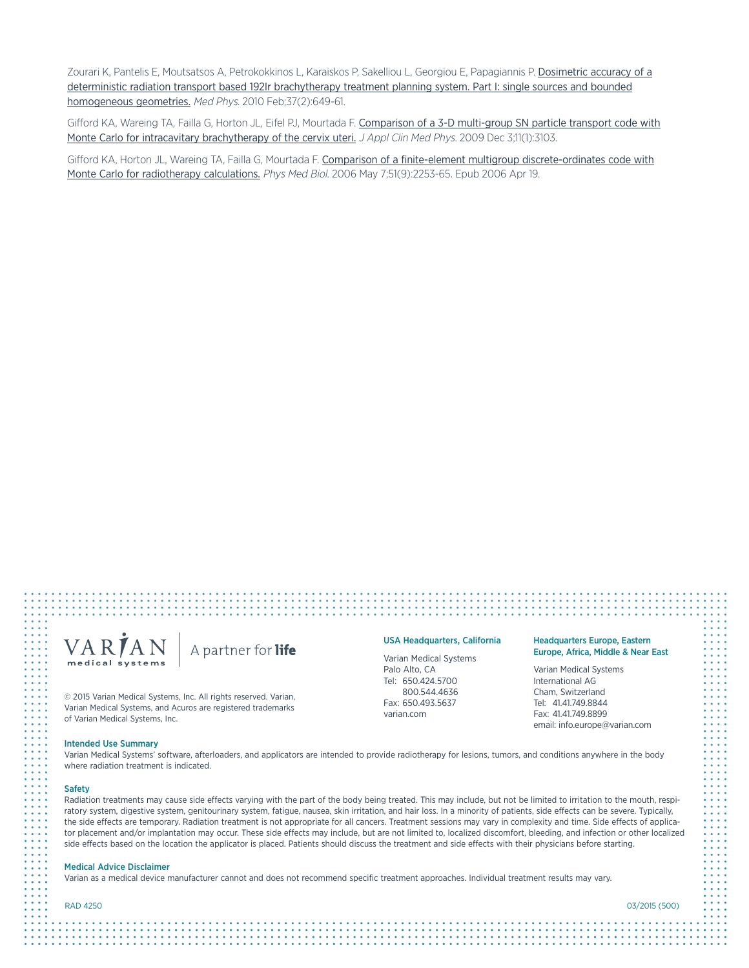Zourari K, Pantelis E, Moutsatsos A, Petrokokkinos L, Karaiskos P, Sakelliou L, Georgiou E, Papagiannis P. [Dosimetric](http://www.ncbi.nlm.nih.gov/pubmed/20229874) accuracy of a deterministic radiation transport based 192Ir [brachytherapy](http://www.ncbi.nlm.nih.gov/pubmed/20229874) treatment planning system. Part I: single sources and bounded [homogeneous](http://www.ncbi.nlm.nih.gov/pubmed/20229874) geometries. Med Phys. 2010 Feb;37(2):649-61.

Gifford KA, Wareing TA, Failla G, Horton JL, Eifel PJ, Mourtada F. [Comparison](http://www.ncbi.nlm.nih.gov/pubmed/20160682) of a 3-D multi-group SN particle transport code with Monte Carlo for intracavitary [brachytherapy](http://www.ncbi.nlm.nih.gov/pubmed/20160682) of the cervix uteri. J Appl Clin Med Phys. 2009 Dec 3;11(1):3103.

Gifford KA, Horton JL, Wareing TA, Failla G, Mourtada F. Comparison of a finite-element multigroup [discrete-ordinates](http://www.ncbi.nlm.nih.gov/pubmed/16625040) code with Monte Carlo for [radiotherapy](http://www.ncbi.nlm.nih.gov/pubmed/16625040) calculations. Phys Med Biol. 2006 May 7;51(9):2253-65. Epub 2006 Apr 19.

## VARIAN A partner for life medical systems

© 2015 Varian Medical Systems, Inc. All rights reserved. Varian, Varian Medical Systems, and Acuros are registered trademarks of Varian Medical Systems, Inc.

### Intended Use Summary

Varian Medical Systems' software, afterloaders, and applicators are intended to provide radiotherapy for lesions, tumors, and conditions anywhere in the body where radiation treatment is indicated.

USA Headquarters, California Varian Medical Systems Palo Alto, CA Tel: 650.424.5700 800.544.4636 Fax: 650.493.5637 varian.com

#### **Safety**

Radiation treatments may cause side effects varying with the part of the body being treated. This may include, but not be limited to irritation to the mouth, respiratory system, digestive system, genitourinary system, fatigue, nausea, skin irritation, and hair loss. In a minority of patients, side effects can be severe. Typically, the side effects are temporary. Radiation treatment is not appropriate for all cancers. Treatment sessions may vary in complexity and time. Side effects of applicator placement and/or implantation may occur. These side effects may include, but are not limited to, localized discomfort, bleeding, and infection or other localized side effects based on the location the applicator is placed. Patients should discuss the treatment and side effects with their physicians before starting.

#### Medical Advice Disclaimer

Varian as a medical device manufacturer cannot and does not recommend specific treatment approaches. Individual treatment results may vary.

RAD 4250 03/2015 (500)

Headquarters Europe, Eastern Europe, Africa, Middle & Near East

Varian Medical Systems International AG Cham, Switzerland Tel: 41.41.749.8844 Fax: 41.41.749.8899 email: info.europe@varian.com